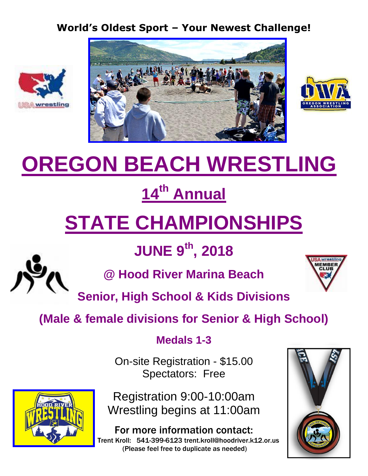#### **World's Oldest Sport – Your Newest Challenge!**







# **OREGON BEACH WRESTLING**

## **14 th Annual**

## **STATE CHAMPIONSHIPS**

### **JUNE 9 th, 2018**



**@ Hood River Marina Beach**



**Senior, High School & Kids Divisions**

### **(Male & female divisions for Senior & High School)**

### **Medals 1-3**

On-site Registration - \$15.00 Spectators: Free



Registration 9:00-10:00am Wrestling begins at 11:00am

For more information contact: Trent Kroll: 541-399-6123 trent.kroll@hoodriver.k12.or.us (Please feel free to duplicate as needed)